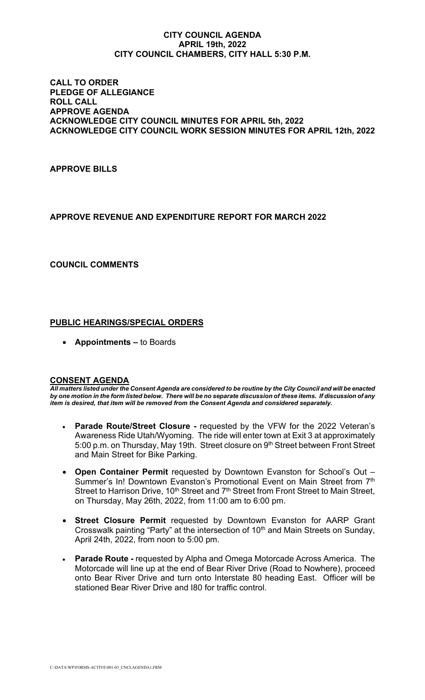#### **CITY COUNCIL AGENDA APRIL 19th, 2022 CITY COUNCIL CHAMBERS, CITY HALL 5:30 P.M.**

#### **CALL TO ORDER PLEDGE OF ALLEGIANCE ROLL CALL APPROVE AGENDA ACKNOWLEDGE CITY COUNCIL MINUTES FOR APRIL 5th, 2022 ACKNOWLEDGE CITY COUNCIL WORK SESSION MINUTES FOR APRIL 12th, 2022**

## **APPROVE BILLS**

# **APPROVE REVENUE AND EXPENDITURE REPORT FOR MARCH 2022**

### **COUNCIL COMMENTS**

### **PUBLIC HEARINGS/SPECIAL ORDERS**

• **Appointments –** to Boards

#### **CONSENT AGENDA**

*All matters listed under the Consent Agenda are considered to be routine by the City Council and will be enacted by one motion in the form listed below. There will be no separate discussion of these items. If discussion of any item is desired, that item will be removed from the Consent Agenda and considered separately.*

- **Parade Route/Street Closure -** requested by the VFW for the 2022 Veteran's Awareness Ride Utah/Wyoming. The ride will enter town at Exit 3 at approximately 5:00 p.m. on Thursday, May 19th. Street closure on 9<sup>th</sup> Street between Front Street and Main Street for Bike Parking.
- **Open Container Permit** requested by Downtown Evanston for School's Out Summer's In! Downtown Evanston's Promotional Event on Main Street from 7<sup>th</sup> Street to Harrison Drive, 10<sup>th</sup> Street and 7<sup>th</sup> Street from Front Street to Main Street, on Thursday, May 26th, 2022, from 11:00 am to 6:00 pm.
- **Street Closure Permit** requested by Downtown Evanston for AARP Grant Crosswalk painting "Party" at the intersection of 10<sup>th</sup> and Main Streets on Sunday, April 24th, 2022, from noon to 5:00 pm.
- **Parade Route -** requested by Alpha and Omega Motorcade Across America. The Motorcade will line up at the end of Bear River Drive (Road to Nowhere), proceed onto Bear River Drive and turn onto Interstate 80 heading East. Officer will be stationed Bear River Drive and I80 for traffic control.